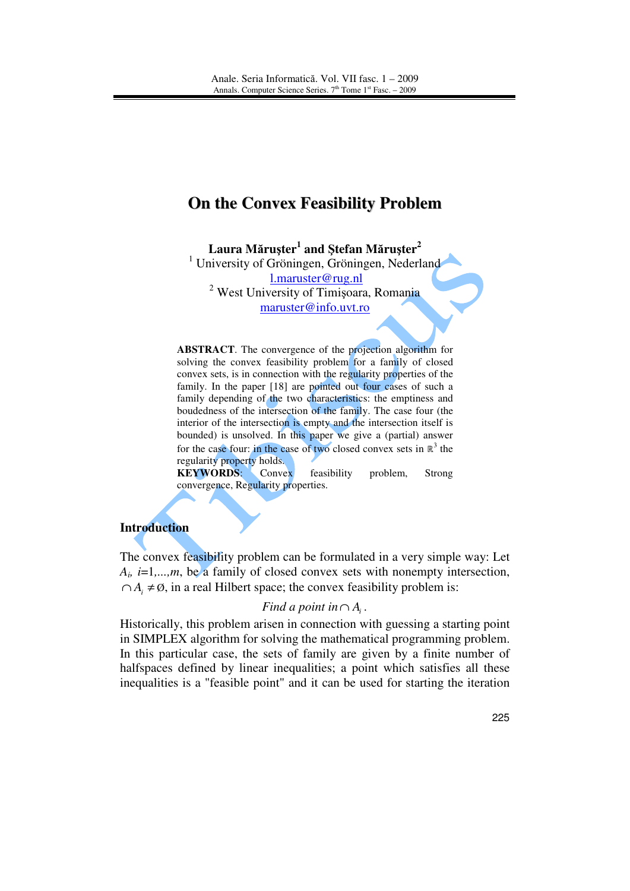# **On the Convex Feasibility Problem**

**Laura M**ă**ru**ş**ter<sup>1</sup> and** Ş**tefan M**ă**ru**ş**ter<sup>2</sup>**

<sup>1</sup> University of Gröningen, Gröningen, Nederland

l.maruster@rug.nl

<sup>2</sup> West University of Timișoara, Romania maruster@info.uvt.ro

**ABSTRACT**. The convergence of the projection algorithm for solving the convex feasibility problem for a family of closed convex sets, is in connection with the regularity properties of the family. In the paper [18] are pointed out four cases of such a family depending of the two characteristics: the emptiness and boudedness of the intersection of the family. The case four (the interior of the intersection is empty and the intersection itself is bounded) is unsolved. In this paper we give a (partial) answer for the case four: in the case of two closed convex sets in  $\mathbb{R}^3$  the regularity property holds.

**KEYWORDS**: Convex feasibility problem, Strong convergence, Regularity properties.

### **Introduction**

The convex feasibility problem can be formulated in a very simple way: Let  $A_i$ , *i*=1,...,*m*, be a family of closed convex sets with nonempty intersection,  $\cap A_i \neq \emptyset$ , in a real Hilbert space; the convex feasibility problem is:

# *Find a point in*  $\cap$  *A*<sub>*i*</sub>.

Historically, this problem arisen in connection with guessing a starting point in SIMPLEX algorithm for solving the mathematical programming problem. In this particular case, the sets of family are given by a finite number of halfspaces defined by linear inequalities; a point which satisfies all these inequalities is a "feasible point" and it can be used for starting the iteration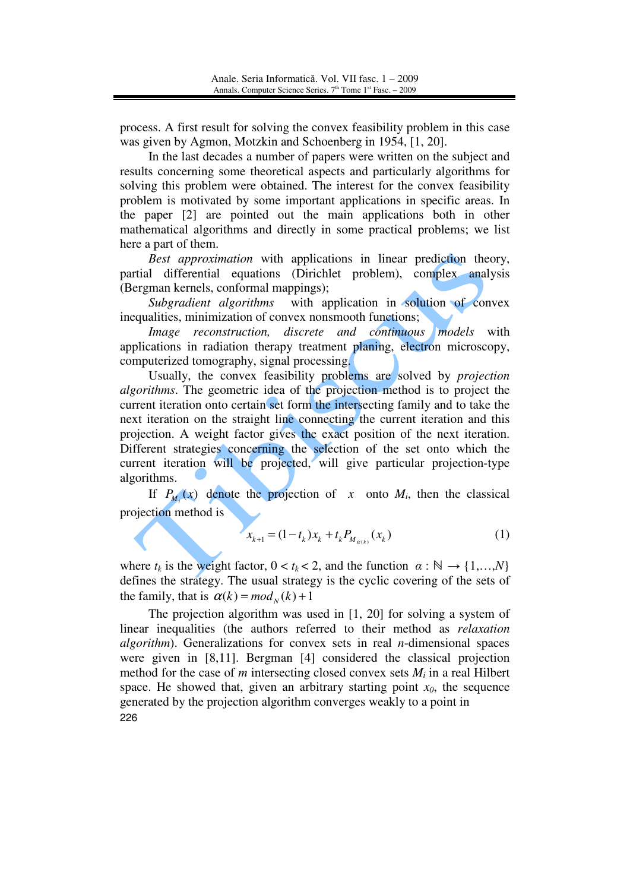process. A first result for solving the convex feasibility problem in this case was given by Agmon, Motzkin and Schoenberg in 1954, [1, 20].

 In the last decades a number of papers were written on the subject and results concerning some theoretical aspects and particularly algorithms for solving this problem were obtained. The interest for the convex feasibility problem is motivated by some important applications in specific areas. In the paper [2] are pointed out the main applications both in other mathematical algorithms and directly in some practical problems; we list here a part of them.

*Best approximation* with applications in linear prediction theory, partial differential equations (Dirichlet problem), complex analysis (Bergman kernels, conformal mappings);

*Subgradient algorithms* with application in solution of convex inequalities, minimization of convex nonsmooth functions;

*Image reconstruction, discrete and continuous models* with applications in radiation therapy treatment planing, electron microscopy, computerized tomography, signal processing.

Usually, the convex feasibility problems are solved by *projection algorithms*. The geometric idea of the projection method is to project the current iteration onto certain set form the intersecting family and to take the next iteration on the straight line connecting the current iteration and this projection. A weight factor gives the exact position of the next iteration. Different strategies concerning the selection of the set onto which the current iteration will be projected, will give particular projection-type algorithms.

If  $P_{M_i}(x)$  denote the projection of *x* onto  $M_i$ , then the classical projection method is

$$
x_{k+1} = (1 - t_k)x_k + t_k P_{M_{\alpha(k)}}(x_k)
$$
\n(1)

where  $t_k$  is the weight factor,  $0 < t_k < 2$ , and the function  $\alpha : \mathbb{N} \to \{1, ..., N\}$ defines the strategy. The usual strategy is the cyclic covering of the sets of the family, that is  $\alpha(k) = mod_N(k) + 1$ 

226 The projection algorithm was used in [1, 20] for solving a system of linear inequalities (the authors referred to their method as *relaxation algorithm*). Generalizations for convex sets in real *n*-dimensional spaces were given in [8,11]. Bergman [4] considered the classical projection method for the case of  $m$  intersecting closed convex sets  $M_i$  in a real Hilbert space. He showed that, given an arbitrary starting point  $x_0$ , the sequence generated by the projection algorithm converges weakly to a point in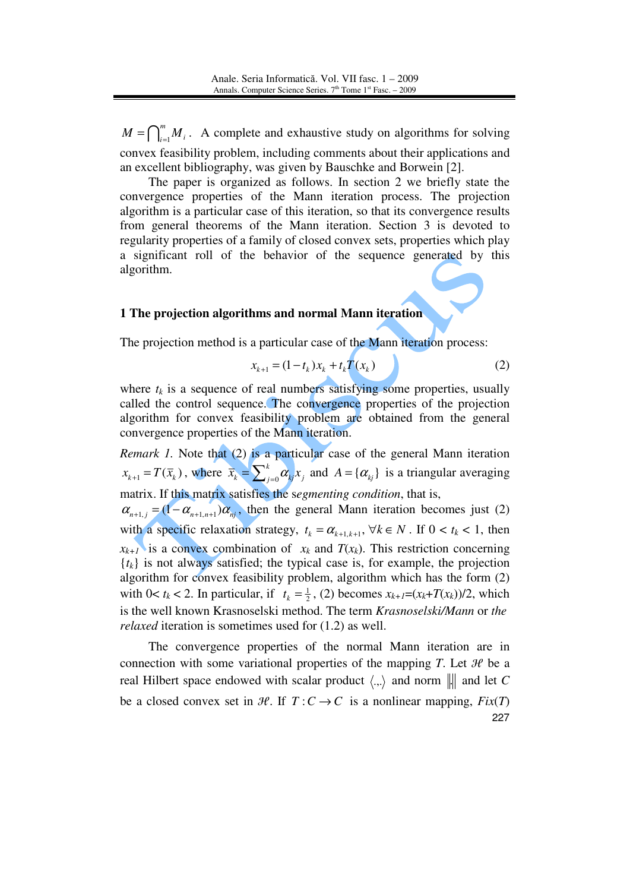$\bigcap_{i=1}^m$  $M = \bigcap_{i=1}^{m} M_i$ . A complete and exhaustive study on algorithms for solving convex feasibility problem, including comments about their applications and an excellent bibliography, was given by Bauschke and Borwein [2].

The paper is organized as follows. In section 2 we briefly state the convergence properties of the Mann iteration process. The projection algorithm is a particular case of this iteration, so that its convergence results from general theorems of the Mann iteration. Section 3 is devoted to regularity properties of a family of closed convex sets, properties which play a significant roll of the behavior of the sequence generated by this algorithm.

#### **1 The projection algorithms and normal Mann iteration**

The projection method is a particular case of the Mann iteration process:

$$
x_{k+1} = (1 - t_k)x_k + t_k T(x_k)
$$
 (2)

where  $t_k$  is a sequence of real numbers satisfying some properties, usually called the control sequence. The convergence properties of the projection algorithm for convex feasibility problem are obtained from the general convergence properties of the Mann iteration.

*Remark 1.* Note that (2) is a particular case of the general Mann iteration  $x_{k+1} = T(\bar{x}_k)$ , where  $\bar{x}_k = \sum_{i=0}^k \alpha_{kj} x_i$  $\bar{x}_k = \sum_{j=0}^k \alpha_{kj} x_j$  and  $A = \{\alpha_{kj}\}\$ is a triangular averaging matrix. If this matrix satisfies the s*egmenting condition*, that is,  $\alpha_{n+1,j} = (1 - \alpha_{n+1,n+1}) \alpha_{nj}$ , then the general Mann iteration becomes just (2) with a specific relaxation strategy,  $t_k = \alpha_{k+1,k+1}$ ,  $\forall k \in N$ . If  $0 < t_k < 1$ , then  $x_{k+1}$  is a convex combination of  $x_k$  and  $T(x_k)$ . This restriction concerning  ${t_k}$  is not always satisfied; the typical case is, for example, the projection algorithm for convex feasibility problem, algorithm which has the form (2) with  $0 < t_k < 2$ . In particular, if  $t_k = \frac{1}{2}$ , (2) becomes  $x_{k+1} = (x_k + T(x_k))/2$ , which is the well known Krasnoselski method. The term *Krasnoselski/Mann* or *the relaxed* iteration is sometimes used for (1.2) as well.

227 The convergence properties of the normal Mann iteration are in connection with some variational properties of the mapping *T*. Let  $\mathcal{H}$  be a real Hilbert space endowed with scalar product  $\langle ., . \rangle$  and norm  $\| \cdot \|$  and let C be a closed convex set in  $H$ . If  $T: C \to C$  is a nonlinear mapping,  $Fix(T)$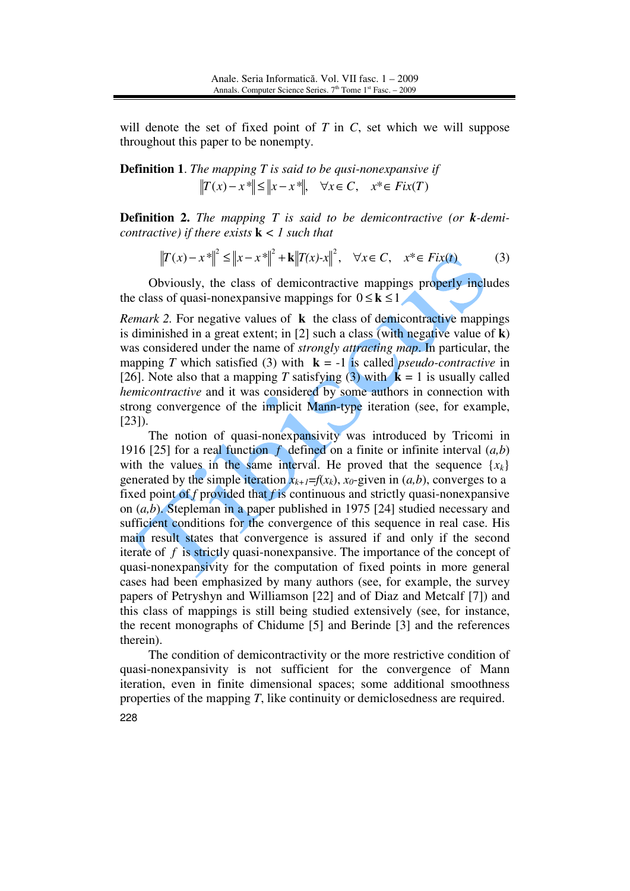will denote the set of fixed point of *T* in *C*, set which we will suppose throughout this paper to be nonempty.

**Definition 1**. *The mapping T is said to be qusi-nonexpansive if*   $||T(x)-x|| \le ||x-x||$ *,*  $\forall x \in C$ ,  $x^* \in Fix(T)$ 

**Definition 2.** *The mapping T is said to be demicontractive (or k-demicontractive) if there exists* **k** *< 1 such that* 

$$
||T(x) - x^*||^2 \le ||x - x^*||^2 + k||T(x) - x||^2, \quad \forall x \in C, \quad x^* \in Fix(t)
$$
 (3)

 Obviously, the class of demicontractive mappings properly includes the class of quasi-nonexpansive mappings for  $0 \le k \le 1$ 

*Remark 2.* For negative values of **k** the class of demicontractive mappings is diminished in a great extent; in [2] such a class (with negative value of **k**) was considered under the name of *strongly attracting map*. In particular, the mapping *T* which satisfied (3) with  $\mathbf{k} = -1$  is called *pseudo-contractive* in [26]. Note also that a mapping *T* satisfying (3) with  $\mathbf{k} = 1$  is usually called *hemicontractive* and it was considered by some authors in connection with strong convergence of the implicit Mann-type iteration (see, for example, [23]).

The notion of quasi-nonexpansivity was introduced by Tricomi in 1916 [25] for a real function  $f$  defined on a finite or infinite interval  $(a,b)$ with the values in the same interval. He proved that the sequence  $\{x_k\}$ generated by the simple iteration  $x_{k+1} = f(x_k)$ ,  $x_0$ -given in  $(a, b)$ , converges to a fixed point of *f* provided that *f* is continuous and strictly quasi-nonexpansive on (*a,b*). Stepleman in a paper published in 1975 [24] studied necessary and sufficient conditions for the convergence of this sequence in real case. His main result states that convergence is assured if and only if the second iterate of *f* is strictly quasi-nonexpansive. The importance of the concept of quasi-nonexpansivity for the computation of fixed points in more general cases had been emphasized by many authors (see, for example, the survey papers of Petryshyn and Williamson [22] and of Diaz and Metcalf [7]) and this class of mappings is still being studied extensively (see, for instance, the recent monographs of Chidume [5] and Berinde [3] and the references therein).

228 The condition of demicontractivity or the more restrictive condition of quasi-nonexpansivity is not sufficient for the convergence of Mann iteration, even in finite dimensional spaces; some additional smoothness properties of the mapping *T*, like continuity or demiclosedness are required.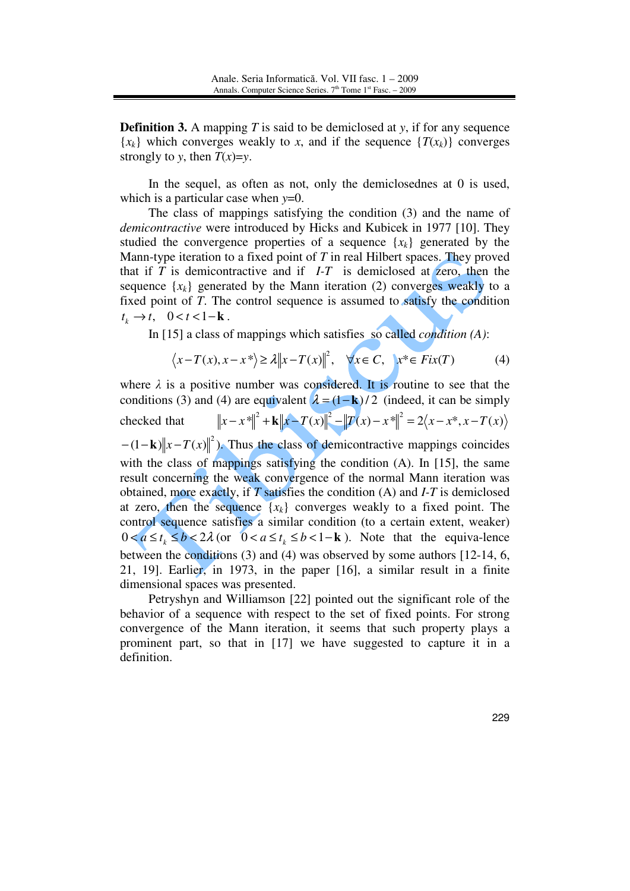**Definition 3.** A mapping *T* is said to be demiclosed at *y*, if for any sequence  ${x_k}$  which converges weakly to *x*, and if the sequence  ${T(x_k)}$  converges strongly to *y*, then  $T(x)=y$ .

 In the sequel, as often as not, only the demiclosednes at 0 is used, which is a particular case when *y*=0.

 The class of mappings satisfying the condition (3) and the name of *demicontractive* were introduced by Hicks and Kubicek in 1977 [10]. They studied the convergence properties of a sequence  $\{x_k\}$  generated by the Mann-type iteration to a fixed point of *T* in real Hilbert spaces. They proved that if  $T$  is demicontractive and if  $I-T$  is demiclosed at zero, then the sequence  $\{x_k\}$  generated by the Mann iteration (2) converges weakly to a fixed point of *T*. The control sequence is assumed to satisfy the condition  $t_k \rightarrow t$ , 0 <  $t$  < 1 - **k** .

In [15] a class of mappings which satisfies so called *condition (A)*:

$$
\langle x - T(x), x - x^* \rangle \ge \lambda \|x - T(x)\|^2, \quad \forall x \in C, \quad x^* \in Fix(T) \tag{4}
$$

where  $\lambda$  is a positive number was considered. It is routine to see that the conditions (3) and (4) are equivalent  $\lambda = (1 - \mathbf{k})/2$  (indeed, it can be simply checked that  $||x - x^*||^2 + ||x - T(x)||^2 - ||T(x) - x^*||^2 = 2(x - x^*, x - T(x))$  $-(1 - \mathbf{k}) ||x - T(x)||^2$ ). Thus the class of demicontractive mappings coincides with the class of mappings satisfying the condition (A). In [15], the same result concerning the weak convergence of the normal Mann iteration was obtained, more exactly, if *T* satisfies the condition (A) and *I-T* is demiclosed at zero, then the sequence  ${x_k}$  converges weakly to a fixed point. The control sequence satisfies a similar condition (to a certain extent, weaker)  $0 < a \le t_k \le b < 2\lambda$  (or  $0 < a \le t_k \le b < 1 - k$ ). Note that the equiva-lence between the conditions (3) and (4) was observed by some authors [12-14, 6, 21, 19]. Earlier, in 1973, in the paper [16], a similar result in a finite dimensional spaces was presented.

 Petryshyn and Williamson [22] pointed out the significant role of the behavior of a sequence with respect to the set of fixed points. For strong convergence of the Mann iteration, it seems that such property plays a prominent part, so that in [17] we have suggested to capture it in a definition.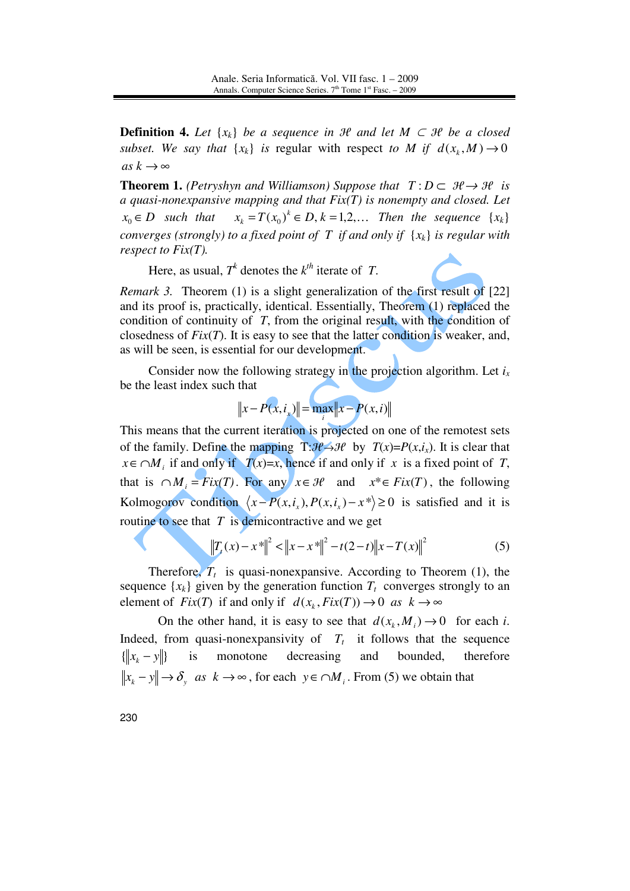**Definition 4.** Let  $\{x_k\}$  be a sequence in  $\mathcal{H}$  and let  $M \subset \mathcal{H}$  be a closed *subset.* We say that  $\{x_k\}$  is regular with respect to M if  $d(x_k, M) \to 0$ *as*  $k$  → ∞

**Theorem 1.** *(Petryshyn and Williamson) Suppose that*  $T: D \subset \mathcal{H} \rightarrow \mathcal{H}$  *is a quasi-nonexpansive mapping and that Fix(T) is nonempty and closed. Let*   $x_0 \in D$  *such that*  $(k)$ <sup>*k*</sup>  $\in$  *D*, *k* = 1,2,... Then the sequence { $x_k$ } *converges (strongly) to a fixed point of T if and only if*  $\{x_k\}$  *is regular with respect to Fix(T).* 

Here, as usual,  $T^k$  denotes the  $k^{th}$  iterate of *T*.

*Remark 3.* Theorem (1) is a slight generalization of the first result of [22] and its proof is, practically, identical. Essentially, Theorem (1) replaced the condition of continuity of *T*, from the original result, with the condition of closedness of  $Fix(T)$ . It is easy to see that the latter condition is weaker, and, as will be seen, is essential for our development.

 Consider now the following strategy in the projection algorithm. Let *i<sup>x</sup>* be the least index such that

$$
\|x - P(x, i_x)\| = \max_{i} \|x - P(x, i)\|
$$

This means that the current iteration is projected on one of the remotest sets of the family. Define the mapping  $T: \mathcal{H} \rightarrow \mathcal{H}$  by  $T(x)=P(x,i_x)$ . It is clear that *x*∈ ∩ *M*<sub>*i*</sub> if and only if *T*(*x*)=*x*, hence if and only if *x* is a fixed point of *T*, that is  $\bigcap M_i = Fix(T)$ . For any  $x \in \mathcal{H}$  and  $x^* \in Fix(T)$ , the following Kolmogorov condition  $\langle x - P(x, i_x), P(x, i_x) - x^* \rangle \ge 0$  is satisfied and it is routine to see that *T* is demicontractive and we get

$$
\|T_t(x) - x^*\|^2 < \|x - x^*\|^2 - t(2 - t)\|x - T(x)\|^2 \tag{5}
$$

Therefore,  $T_t$  is quasi-nonexpansive. According to Theorem (1), the sequence  $\{x_k\}$  given by the generation function  $T_t$  converges strongly to an element of  $Fix(T)$  if and only if  $d(x_k, Fix(T)) \to 0$  *as*  $k \to \infty$ 

On the other hand, it is easy to see that  $d(x_k, M_i) \to 0$  for each *i*. Indeed, from quasi-nonexpansivity of  $T_t$  it follows that the sequence  $\{\Vert x_k - y \Vert\}$  is monotone decreasing and bounded, therefore  $x_k - y \nightharpoonup \delta$  *as*  $k \to \infty$ , for each  $y \in \cap M_i$ . From (5) we obtain that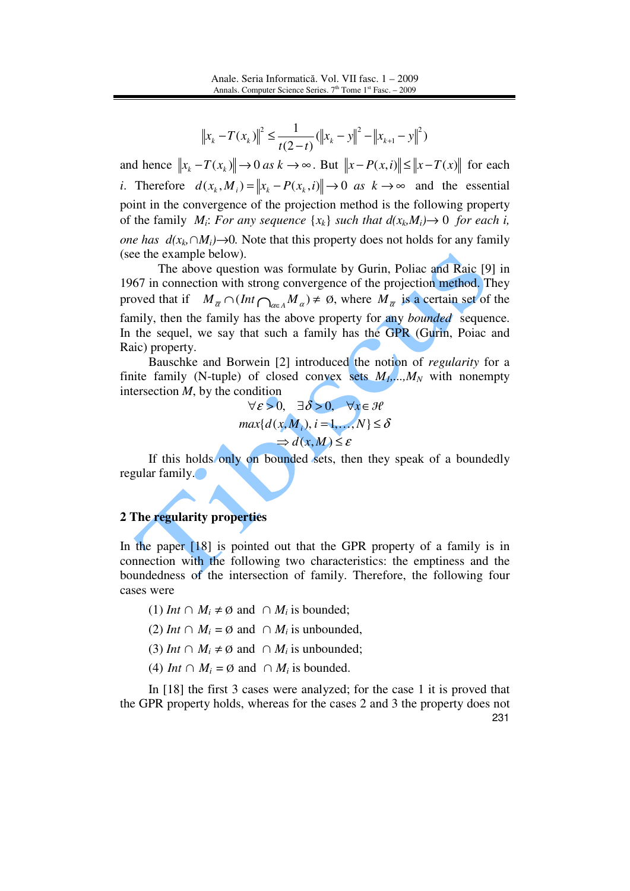$$
\left\|x_{k} - T(x_{k})\right\|^{2} \leq \frac{1}{t(2-t)} \left(\left\|x_{k} - y\right\|^{2} - \left\|x_{k+1} - y\right\|^{2}\right)
$$

and hence  $\|x_k - T(x_k)\| \to 0$  *as*  $k \to \infty$ . But  $\|x - P(x, i)\| \le \|x - T(x)\|$  for each *i*. Therefore  $d(x_k, M_i) = ||x_k - P(x_k, i)|| \rightarrow 0$  *as*  $k \rightarrow \infty$  and the essential point in the convergence of the projection method is the following property of the family  $M_i$ : *For any sequence*  $\{x_k\}$  *such that*  $d(x_k, M_i) \rightarrow 0$  *for each i, one has*  $d(x_k \cap M_i) \to 0$ *.* Note that this property does not holds for any family (see the example below).

 The above question was formulate by Gurin, Poliac and Raic [9] in 1967 in connection with strong convergence of the projection method. They proved that if  $M_{\overline{\alpha}} \cap (Int \bigcap_{\alpha \in A} M_{\alpha}) \neq \emptyset$ , where  $M_{\overline{\alpha}}$  is a certain set of the family, then the family has the above property for any *bounded* sequence. In the sequel, we say that such a family has the GPR (Gurin, Poiac and Raic) property.

Bauschke and Borwein [2] introduced the notion of *regularity* for a finite family (N-tuple) of closed convex sets  $M_1$ ,..., $M_N$  with nonempty intersection *M*, by the condition

$$
\forall \varepsilon > 0, \quad \exists \delta > 0, \quad \forall x \in \mathcal{H}
$$
  

$$
\max\{d(x, M_i), i = 1, ..., N\} \le \delta
$$
  

$$
\Rightarrow d(x, M) \le \varepsilon
$$

If this holds only on bounded sets, then they speak of a boundedly regular family.

## **2 The regularity properties**

In the paper [18] is pointed out that the GPR property of a family is in connection with the following two characteristics: the emptiness and the boundedness of the intersection of family. Therefore, the following four cases were

- (1) *Int* ∩  $M_i \neq \emptyset$  and ∩  $M_i$  is bounded;
- (2) *Int* ∩  $M_i = \emptyset$  and ∩  $M_i$  is unbounded,
- (3) *Int*  $\cap$  *M<sub>i</sub>*  $\neq \emptyset$  and  $\cap$  *M<sub>i</sub>* is unbounded;
- (4) *Int*  $\cap$  *M<sub>i</sub>* =  $\emptyset$  and  $\cap$  *M<sub>i</sub>* is bounded.

231 In [18] the first 3 cases were analyzed; for the case 1 it is proved that the GPR property holds, whereas for the cases 2 and 3 the property does not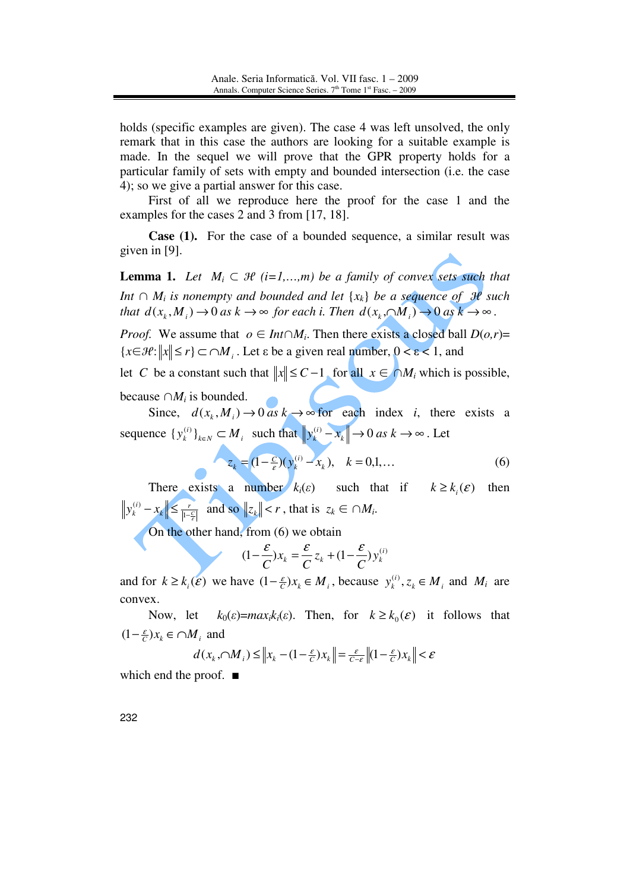holds (specific examples are given). The case 4 was left unsolved, the only remark that in this case the authors are looking for a suitable example is made. In the sequel we will prove that the GPR property holds for a particular family of sets with empty and bounded intersection (i.e. the case 4); so we give a partial answer for this case.

First of all we reproduce here the proof for the case 1 and the examples for the cases 2 and 3 from [17, 18].

**Case (1).** For the case of a bounded sequence, a similar result was given in [9].

**Lemma 1.** *Let*  $M_i \subset \mathcal{H}$  (*i*=1,...,*m*) *be a family of convex sets such that Int*  $\cap$  *M*<sub>*i*</sub> *is nonempty and bounded and let* {*x*<sub>*k*</sub>} *be a sequence of 3e such that*  $d(x_k, M_i) \to 0$  *as*  $k \to \infty$  *for each i. Then*  $d(x_k, \bigcap M_i) \to 0$  *as*  $k \to \infty$ .

*Proof.* We assume that  $o \in Int \cap M_i$ . Then there exists a closed ball  $D(o,r)$ =  ${x \in \mathcal{H} : ||x|| \le r} \subset \bigcap M_i$ . Let  $\varepsilon$  be a given real number,  $0 < \varepsilon < 1$ , and

let *C* be a constant such that  $||x|| \leq C - 1$ , for all *x* ∈ ∩*M<sub>i</sub>* which is possible,

because  $\cap M_i$  is bounded.

Since,  $d(x_k, M_i) \to 0$  *as*  $k \to \infty$  for each index *i*, there exists a sequence  $\{y_k^{(i)}\}_{k \in N} \subset M_i$  such that  $\left\|y_k^{(i)} - x_k\right\| \to 0$  as  $k \to \infty$  $\left\| \begin{matrix} (i) & -x_k \end{matrix} \right\|$   $\rightarrow$  0 *as*  $k \rightarrow \infty$  . Let

$$
z_k = (1 - \frac{c}{\varepsilon})(y_k^{(i)} - x_k), \quad k = 0, 1, ... \tag{6}
$$

There exists a number  $k_i(\varepsilon)$  such that if  $k \geq k_i(\varepsilon)$  then  $\left| \frac{1}{2} \right| \leq \frac{r}{\left| 1 - \frac{C}{\varepsilon} \right|}$ *i*  $y_k^{(i)} - x_k$   $\leq \frac{1}{|1 - i}$  $\left| \sum_{k=1}^{(i)} x_k \right| \leq \frac{r}{\left| \sum_{k=1}^{n} x_k \right|}$  and so  $\left| z_k \right| \leq r$ , that is  $z_k \in \bigcap M_i$ .

On the other hand, from (6) we obtain

$$
(1 - \frac{\varepsilon}{C})x_k = \frac{\varepsilon}{C} z_k + (1 - \frac{\varepsilon}{C})y_k^{(i)}
$$

and for  $k \geq k_i(\mathcal{E})$  we have  $(1 - \frac{\varepsilon}{c})x_k \in M_i$ , because  $y_k^{(i)}$ ,  $z_k \in M_i$  and  $M_i$  are convex.

Now, let  $k_0(\varepsilon) = max_i k_i(\varepsilon)$ . Then, for  $k \ge k_0(\varepsilon)$  it follows that  $(1 - \frac{\varepsilon}{C})x_k \in \cap M_i$  and

$$
d(x_k, \bigcap M_i) \leq \left\| x_k - (1 - \frac{\varepsilon}{C}) x_k \right\| = \frac{\varepsilon}{C - \varepsilon} \left\| (1 - \frac{\varepsilon}{C}) x_k \right\| < \varepsilon
$$

which end the proof.  $\blacksquare$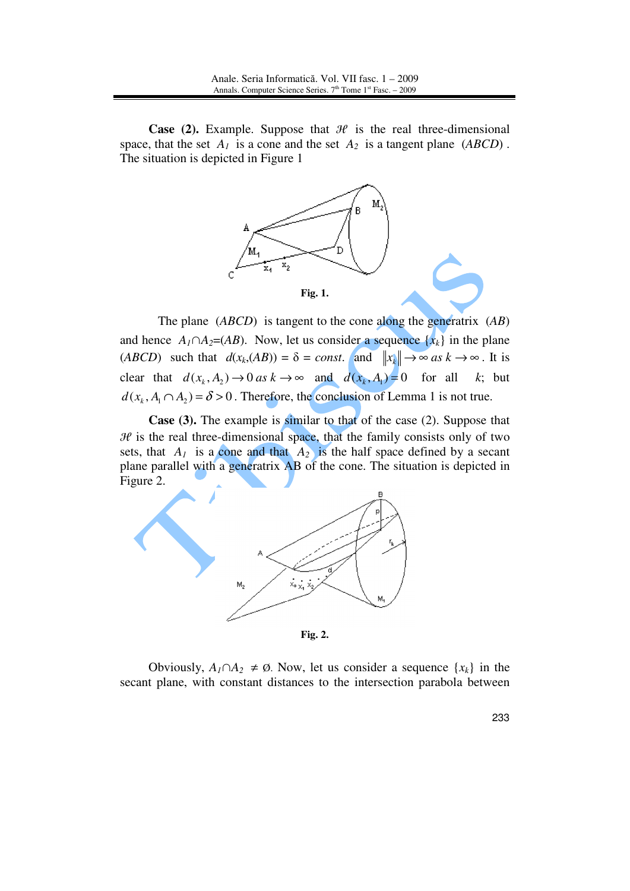**Case (2).** Example. Suppose that  $H$  is the real three-dimensional space, that the set  $A_1$  is a cone and the set  $A_2$  is a tangent plane (*ABCD*). The situation is depicted in Figure 1



 The plane (*ABCD*) is tangent to the cone along the generatrix (*AB*) and hence  $A_1 \cap A_2 = (AB)$ . Now, let us consider a sequence  $\{x_k\}$  in the plane (*ABCD*) such that  $d(x_k,(AB)) = \delta = const.$  and  $||x_k|| \to \infty$  *as*  $k \to \infty$ . It is clear that  $d(x_k, A_2) \to 0$  *as*  $k \to \infty$  and  $d(x_k, A_1) = 0$  for all *k*; but  $d(x_k, A_1 \cap A_2) = \delta > 0$ . Therefore, the conclusion of Lemma 1 is not true.

**Case (3).** The example is similar to that of the case (2). Suppose that  $\mathcal H$  is the real three-dimensional space, that the family consists only of two sets, that  $A_1$  is a cone and that  $A_2$  is the half space defined by a secant plane parallel with a generatrix AB of the cone. The situation is depicted in Figure 2.



**Fig. 2.**

Obviously,  $A_1 \cap A_2 \neq \emptyset$ . Now, let us consider a sequence  $\{x_k\}$  in the secant plane, with constant distances to the intersection parabola between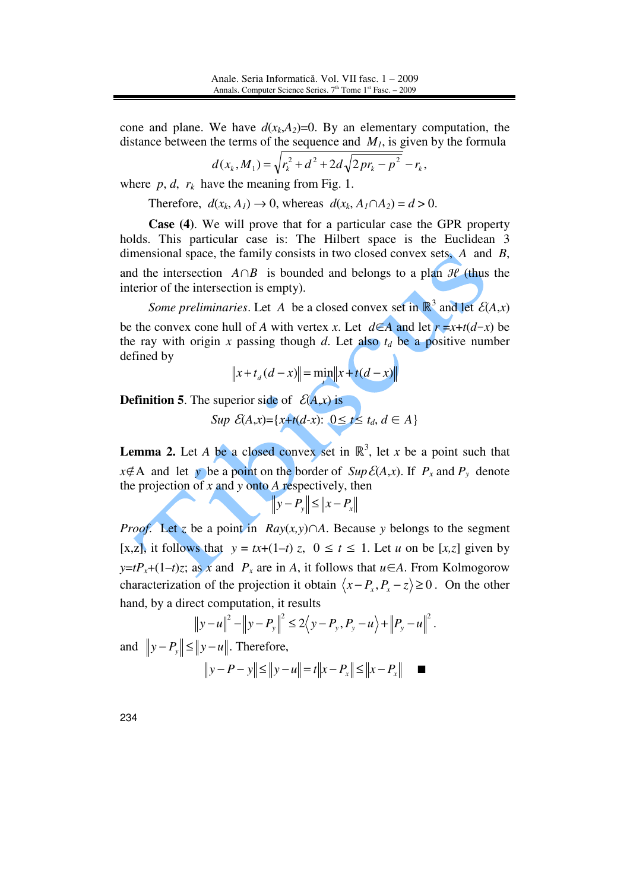cone and plane. We have  $d(x_k, A_2)=0$ . By an elementary computation, the distance between the terms of the sequence and *M1*, is given by the formula

$$
d(x_k, M_1) = \sqrt{r_k^2 + d^2 + 2d\sqrt{2pr_k - p^2}} - r_k,
$$

where  $p, d, r_k$  have the meaning from Fig. 1.

Therefore,  $d(x_k, A_1) \rightarrow 0$ , whereas  $d(x_k, A_1 \cap A_2) = d > 0$ .

**Case (4)**. We will prove that for a particular case the GPR property holds. This particular case is: The Hilbert space is the Euclidean 3 dimensional space, the family consists in two closed convex sets, *A* and *B*, and the intersection  $A \cap B$  is bounded and belongs to a plan  $\mathcal{H}$  (thus the interior of the intersection is empty).

*Some preliminaries.* Let A be a closed convex set in  $\mathbb{R}^3$  and let  $\mathcal{E}(A,x)$ be the convex cone hull of *A* with vertex *x*. Let  $d\in A$  and let  $r = x+t(d-x)$  be the ray with origin *x* passing though *d*. Let also  $t_d$  be a positive number defined by

$$
\|x + t_{d}(d - x)\| = \min_{t} \|x + t(d - x)\|
$$

**Definition 5.** The superior side of  $\mathcal{E}(A,x)$  is

*Sup*  $\mathcal{E}(A,x) = \{x+t(d-x): 0 \le t \le t_d, d \in A\}$ 

**Lemma 2.** Let *A* be a closed convex set in  $\mathbb{R}^3$ , let *x* be a point such that *x*∉A and let *y* be a point on the border of *Sup*  $\mathcal{E}(A,x)$ . If  $P_x$  and  $P_y$  denote the projection of *x* and *y* onto *A* respectively, then

 $y - P_y$   $\leq$   $\|x - P_x$ 

*Proof.* Let *z* be a point in *Ray*(*x,y*)∩*A*. Because *y* belongs to the segment [x,z], it follows that  $y = tx+(1-t)z$ ,  $0 \le t \le 1$ . Let *u* on be [x,z] given by *y*= $tP_x+(1-t)z$ ; as *x* and  $P_x$  are in *A*, it follows that  $u \in A$ . From Kolmogorow characterization of the projection it obtain  $\langle x-P_x, P_x-z \rangle \ge 0$ . On the other hand, by a direct computation, it results

 $||y - u||^2 - ||y - P_y||^2 \le 2\langle y - P_y, P_y - u \rangle + ||P_y - u||^2$ . and  $||y - P_y|| \le ||y - u||$ . Therefore, *y* − *P* − *y* $\le$   $||y - u|| = t$   $||x - P_x|| \le$   $||x - P_x||$  **■**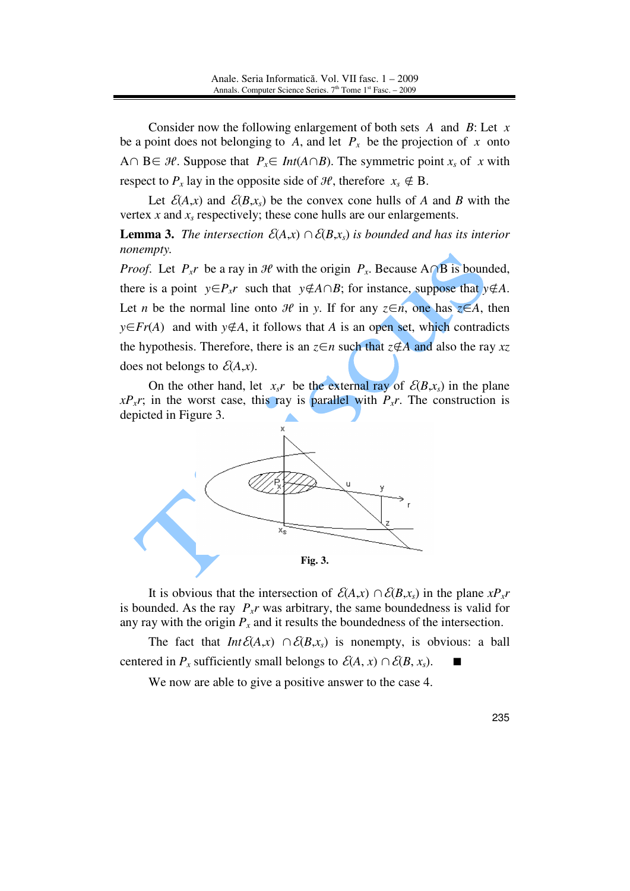Consider now the following enlargement of both sets *A* and *B*: Let *x* be a point does not belonging to A, and let  $P_x$  be the projection of x onto A∩ B∈  $H$ . Suppose that  $P_x \in Int(A \cap B)$ . The symmetric point  $x_s$  of  $x$  with respect to  $P_x$  lay in the opposite side of  $\mathcal{H}$ , therefore  $x_0 \notin B$ .

Let  $\mathcal{E}(A,x)$  and  $\mathcal{E}(B,x_s)$  be the convex cone hulls of *A* and *B* with the vertex  $x$  and  $x_s$  respectively; these cone hulls are our enlargements.

**Lemma 3.** *The intersection*  $\mathcal{E}(A,x) \cap \mathcal{E}(B,x_s)$  *is bounded and has its interior nonempty.*

*Proof.* Let  $P_x r$  be a ray in  $\mathcal{H}$  with the origin  $P_x$ . Because A∩B is bounded, there is a point  $y \in P_x r$  such that  $y \notin A \cap B$ ; for instance, suppose that  $y \notin A$ . Let *n* be the normal line onto  $\mathcal H$  in *y*. If for any  $z \in n$ , one has  $z \in A$ , then *y*∈*Fr*(*A*) and with *y*∉*A*, it follows that *A* is an open set, which contradicts the hypothesis. Therefore, there is an  $z \in n$  such that  $z \notin A$  and also the ray  $xz$ does not belongs to  $\mathcal{E}(A,x)$ .

On the other hand, let  $x_s r$  be the external ray of  $\mathcal{E}(B,x_s)$  in the plane  $xP_x$ *r*; in the worst case, this ray is parallel with *P<sub>x</sub>r*. The construction is depicted in Figure 3.



It is obvious that the intersection of  $\mathcal{E}(A,x) \cap \mathcal{E}(B,x_s)$  in the plane  $xP_xr$ is bounded. As the ray  $P_{x}$ *r* was arbitrary, the same boundedness is valid for any ray with the origin  $P_x$  and it results the boundedness of the intersection.

The fact that  $Int \mathcal{E}(A,x) \cap \mathcal{E}(B,x_s)$  is nonempty, is obvious: a ball centered in *P<sub>x</sub>* sufficiently small belongs to  $\mathcal{E}(A, x) \cap \mathcal{E}(B, x_s)$ .

We now are able to give a positive answer to the case 4.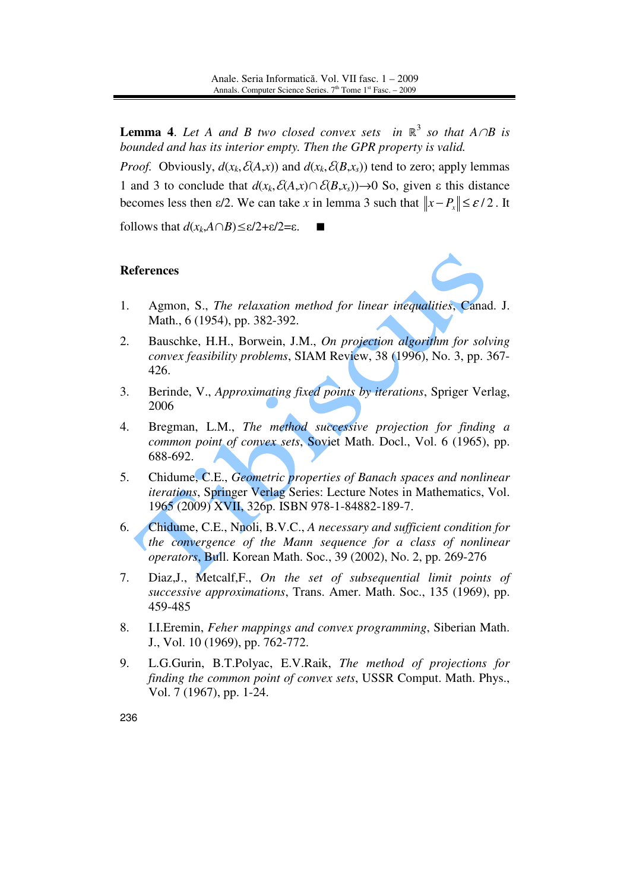**Lemma 4.** Let A and B two closed convex sets in  $\mathbb{R}^3$  so that  $A \cap B$  is *bounded and has its interior empty. Then the GPR property is valid.* 

*Proof.* Obviously,  $d(x_k, \mathcal{E}(A, x))$  and  $d(x_k, \mathcal{E}(B, x_s))$  tend to zero; apply lemmas 1 and 3 to conclude that  $d(x_k, \mathcal{E}(A, x) \cap \mathcal{E}(B, x_s)) \to 0$  So, given  $\varepsilon$  this distance becomes less then  $\epsilon/2$ . We can take *x* in lemma 3 such that  $||x - P_x|| \leq \epsilon/2$ . It

follows that *d*(*xk*,*A*∩*B*)≤ε/2+ε/2=ε.

#### **References**

- 1. Agmon, S., *The relaxation method for linear inequalities*, Canad. J. Math., 6 (1954), pp. 382-392.
- 2. Bauschke, H.H., Borwein, J.M., *On projection algorithm for solving convex feasibility problems*, SIAM Review, 38 (1996), No. 3, pp. 367- 426.
- 3. Berinde, V., *Approximating fixed points by iterations*, Spriger Verlag, 2006
- 4. Bregman, L.M., *The method successive projection for finding a common point of convex sets*, Soviet Math. Docl., Vol. 6 (1965), pp. 688-692.
- 5. Chidume, C.E., *Geometric properties of Banach spaces and nonlinear iterations*, Springer Verlag Series: Lecture Notes in Mathematics, Vol. 1965 (2009) XVII, 326p. ISBN 978-1-84882-189-7.
- 6. Chidume, C.E., Nnoli, B.V.C., *A necessary and sufficient condition for the convergence of the Mann sequence for a class of nonlinear operators*, Bull. Korean Math. Soc., 39 (2002), No. 2, pp. 269-276
- 7. Diaz,J., Metcalf,F., *On the set of subsequential limit points of successive approximations*, Trans. Amer. Math. Soc., 135 (1969), pp. 459-485
- 8. I.I.Eremin, *Feher mappings and convex programming*, Siberian Math. J., Vol. 10 (1969), pp. 762-772.
- 9. L.G.Gurin, B.T.Polyac, E.V.Raik, *The method of projections for finding the common point of convex sets*, USSR Comput. Math. Phys., Vol. 7 (1967), pp. 1-24.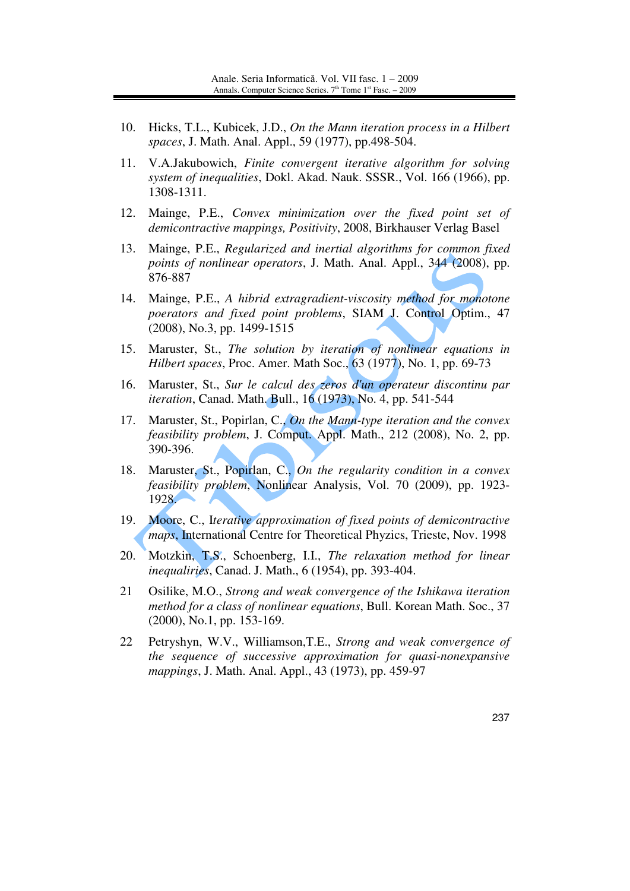- 10. Hicks, T.L., Kubicek, J.D., *On the Mann iteration process in a Hilbert spaces*, J. Math. Anal. Appl., 59 (1977), pp.498-504.
- 11. V.A.Jakubowich, *Finite convergent iterative algorithm for solving system of inequalities*, Dokl. Akad. Nauk. SSSR., Vol. 166 (1966), pp. 1308-1311.
- 12. Mainge, P.E., *Convex minimization over the fixed point set of demicontractive mappings, Positivity*, 2008, Birkhauser Verlag Basel
- 13. Mainge, P.E., *Regularized and inertial algorithms for common fixed points of nonlinear operators*, J. Math. Anal. Appl., 344 (2008), pp. 876-887
- 14. Mainge, P.E., *A hibrid extragradient-viscosity method for monotone poerators and fixed point problems*, SIAM J. Control Optim., 47 (2008), No.3, pp. 1499-1515
- 15. Maruster, St., *The solution by iteration of nonlinear equations in Hilbert spaces*, Proc. Amer. Math Soc., 63 (1977), No. 1, pp. 69-73
- 16. Maruster, St., *Sur le calcul des zeros d'un operateur discontinu par iteration*, Canad. Math. Bull., 16 (1973), No. 4, pp. 541-544
- 17. Maruster, St., Popirlan, C., *On the Mann-type iteration and the convex feasibility problem*, J. Comput. Appl. Math., 212 (2008), No. 2, pp. 390-396.
- 18. Maruster, St., Popirlan, C., *On the regularity condition in a convex feasibility problem*, Nonlinear Analysis, Vol. 70 (2009), pp. 1923- 1928.
- 19. Moore, C., I*terative approximation of fixed points of demicontractive maps*, International Centre for Theoretical Phyzics, Trieste, Nov. 1998
- 20. Motzkin, T.S., Schoenberg, I.I., *The relaxation method for linear inequaliries*, Canad. J. Math., 6 (1954), pp. 393-404.
- 21 Osilike, M.O., *Strong and weak convergence of the Ishikawa iteration method for a class of nonlinear equations*, Bull. Korean Math. Soc., 37 (2000), No.1, pp. 153-169.
- 22 Petryshyn, W.V., Williamson,T.E., *Strong and weak convergence of the sequence of successive approximation for quasi-nonexpansive mappings*, J. Math. Anal. Appl., 43 (1973), pp. 459-97